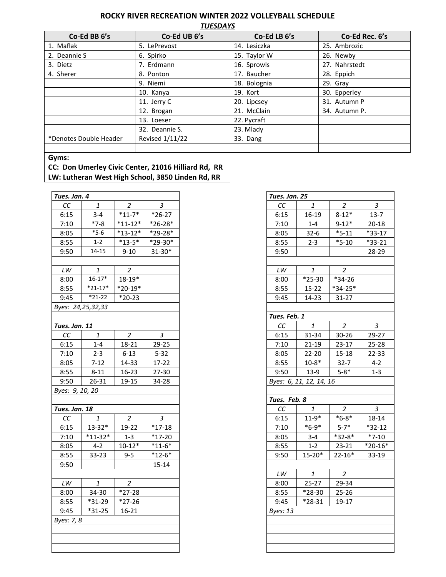## **ROCKY RIVER RECREATION WINTER 2022 VOLLEYBALL SCHEDULE**

*TUESDAYS*

| Co-Ed BB 6's           | Co-Ed UB 6's    | Co-Ed LB 6's | Co-Ed Rec. 6's |
|------------------------|-----------------|--------------|----------------|
| 1. Maflak              | 5. LePrevost    | 14. Lesiczka | 25. Ambrozic   |
| 2. Deannie S           | 6. Spirko       | 15. Taylor W | 26. Newby      |
| 3. Dietz               | 7. Erdmann      | 16. Sprowls  | 27. Nahrstedt  |
| 4. Sherer              | 8. Ponton       | 17. Baucher  | 28. Eppich     |
|                        | 9. Niemi        | 18. Bolognia | 29. Grav       |
|                        | 10. Kanya       | 19. Kort     | 30. Epperley   |
|                        | 11. Jerry C     | 20. Lipcsey  | 31. Autumn P   |
|                        | 12. Brogan      | 21. McClain  | 34. Autumn P.  |
|                        | 13. Loeser      | 22. Pycraft  |                |
|                        | 32. Deannie S.  | 23. Mlady    |                |
| *Denotes Double Header | Revised 1/11/22 | 33. Dang     |                |
|                        |                 |              |                |

## **Gyms:**

**CC: Don Umerley Civic Center, 21016 Hilliard Rd, RR LW: Lutheran West High School, 3850 Linden Rd, RR**

| Tues. Jan. 4           |                 |                |            |  |
|------------------------|-----------------|----------------|------------|--|
| CC                     | 1               | $\overline{2}$ | 3          |  |
| 6:15                   | $3 - 4$         | $*11-7*$       | $*26-27$   |  |
| 7:10                   | $*7-8$          | $*11-12*$      | $*26-28*$  |  |
| 8:05                   | $*5-6$          | $*13-12*$      | *29-28*    |  |
| 8:55                   | $1 - 2$         | $*13-5*$       | *29-30*    |  |
| 9:50                   | $14 - 15$       | $9 - 10$       | $31 - 30*$ |  |
|                        |                 |                |            |  |
| $\mathsf{L}\mathsf{W}$ | 1               | $\overline{2}$ |            |  |
| 8:00                   | $16 - 17*$      | $18 - 19*$     |            |  |
| 8:55                   | $*21 - 17*$     | $*20-19*$      |            |  |
| 9:45                   | $*21-22$        | $*20-23$       |            |  |
| Byes: 24,25,32,33      |                 |                |            |  |
|                        |                 |                |            |  |
| Tues. Jan. 11          |                 |                |            |  |
| CC                     | 1               | $\overline{c}$ | 3          |  |
| 6:15                   | $1 - 4$         | 18-21          | 29-25      |  |
| 7:10                   | $2 - 3$         | $6 - 13$       | $5 - 32$   |  |
| 8:05                   | $7 - 12$        | 14-33          | 17-22      |  |
| 8:55                   | $8 - 11$        | 16-23          | 27-30      |  |
| 9:50                   | 26-31           | 19-15          | 34-28      |  |
|                        | Byes: 9, 10, 20 |                |            |  |
|                        |                 |                |            |  |
| Tues. Jan. 18          |                 |                |            |  |
| CC                     | 1               | 2              | З          |  |
| 6:15                   | $13 - 32*$      | 19-22          | $*17-18$   |  |
| 7:10                   | $*11-32*$       | $1 - 3$        | $*17-20$   |  |
| 8:05                   | $4 - 2$         | $10 - 12*$     | $*11-6*$   |  |
| 8:55                   | 33-23           | $9 - 5$        | $*12-6*$   |  |
| 9:50                   |                 |                | $15 - 14$  |  |
|                        |                 |                |            |  |
| LW                     | 1               | 2              |            |  |
| 8:00                   | 34-30           | $*27-28$       |            |  |
| 8:55                   | $*31-29$        | $*27-26$       |            |  |
| 9:45                   | $*31-25$        | 16-21          |            |  |
| Byes: 7, 8             |                 |                |            |  |
|                        |                 |                |            |  |
|                        |                 |                |            |  |
|                        |                 |                |            |  |

| Tues. Jan. 25          |                         |                      |                |
|------------------------|-------------------------|----------------------|----------------|
| CC                     | $\it 1$                 | $\overline{c}$       | 3              |
| 6:15                   | 16-19                   | $8 - 12*$            | $13 - 7$       |
| 7:10                   | $1 - 4$                 | $9 - 12*$            | $20 - 18$      |
| 8:05                   | $32 - 6$                | $\overline{\ }$ 5-11 | $*33-17$       |
| 8:55                   | $2 - 3$                 | $*5-10$              | $*33-21$       |
| 9:50                   |                         |                      | 28-29          |
|                        |                         |                      |                |
| $\mathsf{L}\mathsf{W}$ | 1                       | 2                    |                |
| 8:00                   | $*25-30$                | $*34-26$             |                |
| 8:55                   | $15 - 22$               | $*34-25*$            |                |
| 9:45                   | 14-23                   | 31-27                |                |
|                        |                         |                      |                |
| Tues. Feb. 1           |                         |                      |                |
| cc                     | $\it 1$                 | 2                    | 3              |
| 6:15                   | 31-34                   | 30-26                | 29-27          |
| 7:10                   | 21-19                   | 23-17                | 25-28          |
| 8:05                   | $22-20$                 | $15 - 18$            | 22-33          |
| 8:55                   | $10 - 8*$               | $32 - 7$             | $4 - 2$        |
| 9:50                   | 13-9                    | $5 - 8*$             | $1 - 3$        |
|                        | Byes: 6, 11, 12, 14, 16 |                      |                |
|                        |                         |                      |                |
| Tues. Feb. 8           |                         |                      |                |
| СC                     | $\it 1$                 | $\overline{2}$       | $\overline{3}$ |
| 6:15                   | $11 - 9*$               | $*6-8*$              | $18 - 14$      |
| 7:10                   | $*6-9*$                 | $5 - 7*$             | $*32-12$       |
| 8:05                   | $3 - 4$                 | $*32-8*$             | $*7-10$        |
| 8:55                   | $1 - 2$                 | $23 - 21$            | $*20 - 16*$    |
| 9:50                   | $15 - 20*$              | $\overline{22}$ -16* | 33-19          |
|                        |                         |                      |                |
| LW                     | 1                       | $\overline{c}$       |                |
| 8:00                   | $25 - 27$               | 29-34                |                |
| 8:55                   | *28-30                  | $25 - 26$            |                |
| 9:45                   | *28-31                  | 19-17                |                |
| Byes: 13               |                         |                      |                |
|                        |                         |                      |                |
|                        |                         |                      |                |
|                        |                         |                      |                |
|                        |                         |                      |                |